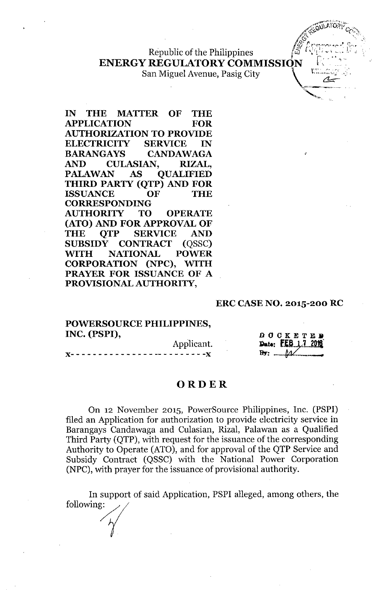;;4::'- ,~. ~":~'~~'-'-~ *"!t:"' •• <sup>~</sup> q,~~"* Republic of the Philippines  $\sqrt{\vec{a}}$ <br>ENERGY REGULATORY COMMISSION

San Miguel Avenue, Pasig City

IN THE MATTER OF THE APPLICATION FOR AUTHORIZATION TO PROVIDE ELECTRICITY SERVICE IN BARANGAYS CANDAWAGA AND CULASIAN, RIZAL, PALAWAN AS OUALIFIED THIRD PARTY (QTP) AND FOR ISSUANCE OF THE CORRESPONDING AUTHORITY TO OPERATE (ATO) AND FOR APPROVAL OF THE OTP SERVICE AND SUBSIDY CONTRACT (OSSC) WITH NATIONAL POWER CORPORATION (NPC), WITH PRAYER FOR ISSUANCE OF A PROVISIONAL AUTHORITY,

#### ERC CASE NO. 2015-200 RC

 $D$  O C K E T E P

 $\mathcal{L}$  , which is a set of  $\mathcal{L}$  $\mathcal{L}$ ULATORI $\mathcal{L}_\mathcal{L}$ *.-:<fY c<:~..*  $\mathbb{R}^{\mathcal{K}\mathcal{K}}$  , where  $\mathcal{K}(\mathcal{K})$  $\langle \mathcal{S} \rangle$  -  $\langle \mathcal{S} \rangle$  -  $\langle \mathcal{S} \rangle$ 

**Williams** 

POWERSOURCE PHILIPPINES, INC. (PSPI),

| Applicant. | Date: F     |
|------------|-------------|
|            | $By: \dots$ |

#### ORDER

On 12 November 2015, PowerSource Philippines, Inc. (PSPI) filed an Application for authorization to provide electricity service in Barangays Candawaga and Culasian, Rizal, Palawan as a Qualified Third Party (QTP), with request for the issuance of the corresponding Authority to Operate (ATO), and for approval of the QTP Service and Subsidy Contract (QSSC) with the National Power Corporation (NPC), with prayer for the issuance of provisional authority.

In support of said Application, PSPI alleged, among others, the following: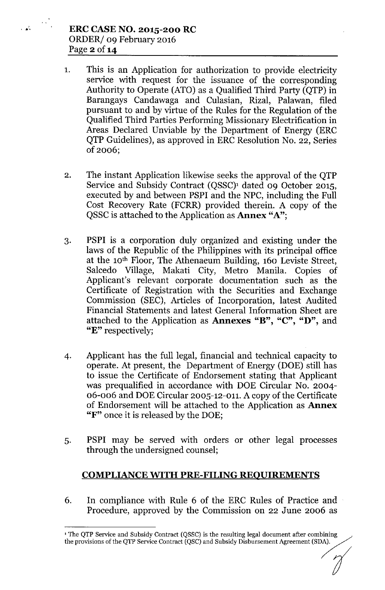- 1. This is an Application for authorization to provide electricity service with request for the issuance of the corresponding Authority to Operate (ATO) as a Qualified Third Party (QTP) in Barangays Candawaga and Culasian, Rizal, Palawan, filed pursuant to and by virtue of the Rules for the Regulation of the Qualified Third Parties Performing Missionary Electrification in Areas Declared Unviable by the Department of Energy (ERC QTP Guidelines), as approved in ERC Resolution No. 22, Series of 2006;
- 2. The instant Application likewise seeks the approval of the QTP Service and Subsidy Contract (QSSC)' dated 09 October 2015, executed by and between PSPI and the NPC, including the Full Cost Recovery Rate (FCRR) provided therein. A copy of the QSSC is attached to the Application as **Annex** " $A$ ";
- 3. PSPI is a corporation duly organized and existing under the laws of the Republic of the Philippines with its principal office at the 10<sup>th</sup> Floor, The Athenaeum Building, 160 Leviste Street, Salcedo Village, Makati City, Metro Manila. Copies of Applicant's relevant corporate documentation such as the Certificate of Registration with the Securities and Exchange Commission (SEC), Articles of Incorporation, latest Audited Financial Statements and latest General Information Sheet are attached to the Application as Annexes "B", "C", "D", and "E" respectively;
- 4. Applicant has the full legal, financial and technical capacity to operate. At present, the Department of Energy (DOE) still has to issue the Certificate of Endorsement stating that Applicant was prequalified in accordance with DOE Circular No. 2004- 06-006 and DOE Circular 2005-12-011. A copy of the Certificate of Endorsement will be attached to the Application as Annex "F" once it is released by the DOE;
- 5. PSPI may be served with orders or other legal processes through the undersigned counsel;

# COMPLIANCE WITH PRE-FILING REQUIREMENTS

6. In compliance with Rule 6 of the ERC Rules of Practice and Procedure, approved by the Commission on 22 June 2006 as

 $\cdot$  The QTP Service and Subsidy Contract (QSSC) is the resulting legal document after combining The QTP Service and Subsidy Contract (QSSC) is the resulting legal document after combining<br>the provisions of the QTP Service Contract (QSC) and Subsidy Disbursement Agreement (SDA). *f*<br>1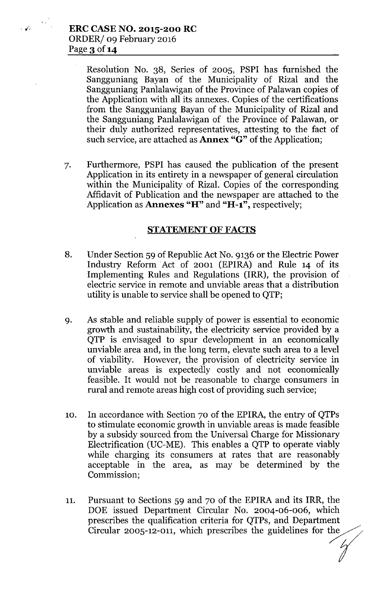Resolution No. 38, Series of 2005, PSPI has furnished the Sangguniang Bayan of the Municipality of Rizal and the Sangguniang Panlalawigan of the Province of Palawan copies of the Application with all its annexes. Copies of the certifications from the Sangguniang Bayan of the Municipality of Rizal and the Sangguniang Panlalawigan of the Province of Palawan, or their duly authorized representatives, attesting to the fact of such service, are attached as **Annex** "G" of the Application;

7. Furthermore, PSPI has caused the publication of the present Application in its entirety in a newspaper of general circulation within the Municipality of Rizal. Copies of the corresponding Affidavit of Publication and the newspaper are attached to the Application as **Annexes** "H" and "H-1", respectively;

#### STATEMENT OF FACTS

- 8. Under Section 59 of Republic Act No. 9136 or the Electric Power Industry Reform Act of 2001 (EPIRA) and Rule 14 of its Implementing Rules and Regulations (IRR), the provision of electric service in remote and unviable areas that a distribution utility is unable to service shall be opened to QTP;
- 9. As stable and reliable supply of power is essential to economic growth and sustain ability, the electricity service provided by a QTP is envisaged to spur development in an economically unviable area and, in the long term, elevate such area to a level of viability. However, the provision of electricity service in unviable areas is expectedly costly and not economically feasible. It would not be reasonable to charge consumers in rural and remote areas high cost of providing such service;
- 10. In accordance with Section 70 of the EPIRA, the entry of QTPs to stimulate economic growth in unviable areas is made feasible by a subsidy sourced from the Universal Charge for Missionary Electrification (UC-ME). This enables a QTP to operate viably while charging its consumers at rates that are reasonably acceptable in the area, as may be determined by the Commission;
- 11. Pursuant to Sections 59 and 70 of the EPIRA and its IRR, the DOE issued Department Circular No. 2004-06-006, which prescribes the qualification criteria for QTPs, and Department Circular  $2005$ -12-011, which prescribes the guidelines for the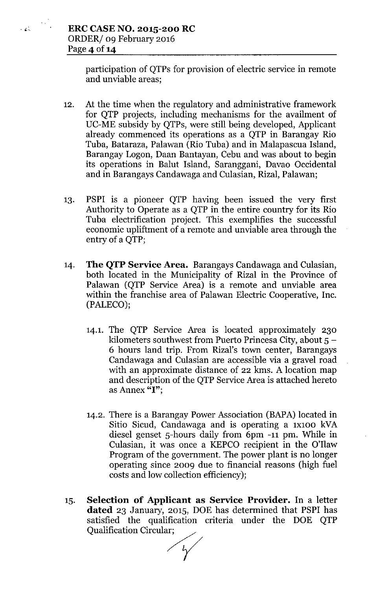participation of QTPs for provision of electric service in remote and unviable areas;

- 12. At the time when the regulatory and administrative framework for QTP projects, including mechanisms for the availment of DC-ME subsidy by QTPs, were still being developed, Applicant already commenced its operations as a QTP in Barangay Rio Tuba, Bataraza, Palawan (Rio Tuba) and in Malapascua Island, Barangay Logon, Daan Bantayan, Cebu and was about to begin its operations in Balut Island, Saranggani, Davao Occidental and in Barangays Candawaga and Culasian, Rizal, Palawan;
- 13. PSPI is a pioneer QTP having been issued the very first Authority to Operate as a QTP in the entire country for its Rio Tuba electrification project. This exemplifies the successful economic upliftment of a remote and unviable area through the entry of a QTP;
- 14. The QTP Service Area. Barangays Candawaga and Culasian, both located in the Municipality of Rizal in the Province of Palawan (QTP Service Area) is a remote and unviable area within the franchise area of Palawan Electric Cooperative, Inc. (PALECO);
	- 14.1. The QTP Service Area is located approximately 230 kilometers southwest from Puerto Princesa City, about  $5 -$ 6 hours land trip. From Rizal's town center, Barangays Candawaga and Culasian are accessible via a gravel road with an approximate distance of 22 kms. A location map and description of the QTP Service Area is attached hereto as Annex "I";
	- 14.2. There is a Barangay Power Association (BAPA) located in Sitio Sicud, Candawaga and is operating a 1x100 kVA diesel genset 5-hours daily from 6pm -11 pm. While in Culasian, it was once a KEPCO recipient in the O'llaw Program of the government. The power plant is no longer operating since 2009 due to financial reasons (high fuel costs and low collection efficiency);
- 15. Selection of Applicant as Service Provider. In a letter dated 23 January, 2015, DOE has determined that PSPI has satisfied the qualification criteria under the DOE QTP Selection of Applicant as<br>dated 23 January, 2015, DO<br>satisfied the qualification<br>Qualification Circular;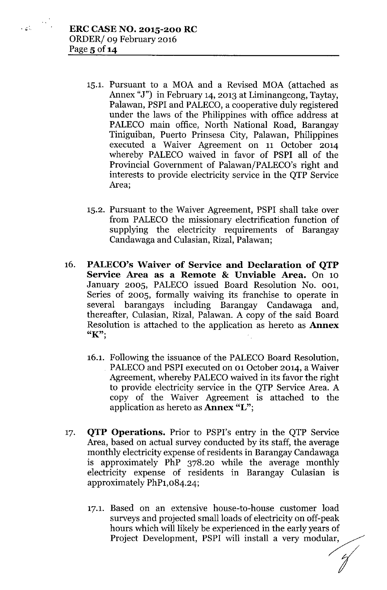- 15.1. Pursuant to a MOA and a Revised MOA (attached as Annex "J") in February 14, 2013 at Liminangcong, Taytay, Palawan, PSPI and PALECO, a cooperative duly registered under the laws of the Philippines with office address at PALECO main office, North National Road, Barangay Tiniguiban, Puerto Prinsesa City, Palawan, Philippines executed a Waiver Agreement on 11 October 2014 whereby PALECO waived in favor of PSPI all of the Provincial Government of Palawan/PALECO's right and interests to provide electricity service in the QTP Service Area;
- 15.2. Pursuant to the Waiver Agreement, PSPI shall take over from PALECO the missionary electrification function of supplying the electricity requirements of Barangay Candawaga and Culasian, Rizal, Palawan;
- 16. **PALECO'sWaiver of Service and Declaration of QTP Service Area as a Remote & Dnviable Area.** On 10 January 2005, PALECO issued Board Resolution No. 001, Series of 2005, formally waiving its franchise to operate in several barangays including Barangay Candawaga and, thereafter, Culasian, Rizal, Palawan. A copy of the said Board Resolution is attached to the application as hereto as **Annex** "K";
	- 16.1. Following the issuance of the PALECO Board Resolution, PALECO and PSPI executed on 01 October 2014, a Waiver Agreement, whereby PALECOwaived in its favor the right to provide electricity service in the QTP Service Area. A copy of the Waiver Agreement is attached to the application as hereto as **Annex** "L";
- 17. **QTP Operations.** Prior to PSPI's entry in the QTP Service Area, based on actual survey conducted by its staff, the average monthly electricity expense of residents in Barangay Candawaga is approximately PhP 378.20 while the average monthly electricity expense of residents in Barangay Culasian is approximately PhP1,084.24;
	- 17.1. Based on an extensive house-to-house customer load surveys and projected small loads of electricity on off-peak hours which will likely be experienced in the early years of Project Development, PSPI will install a very modular,

**I**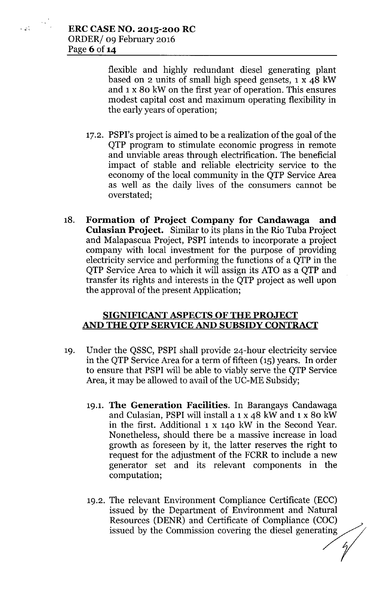flexible and highly redundant diesel generating plant based on 2 units of small high speed gensets, 1 x 48 kW and 1 x 80 kW on the first year of operation. This ensures modest capital cost and maximum operating flexibility in the early years of operation;

- 17.2. PSPI's project is aimed to be a realization of the goal of the QTP program to stimulate economic progress in remote and unviable areas through electrification. The beneficial impact of stable and reliable electricity service to the economy of the local community in the QTP Service Area as well as the daily lives of the consumers cannot be overstated;
- 18. Formation of Project Company for Candawaga and Culasian Project. Similar to its plans in the Rio Tuba Project and Malapascua Project, PSPI intends to incorporate a project company with local investment for the purpose of providing electricity service and performing the functions of a QTP in the QTP Service Area to which it will assign its ATO as a QTP and transfer its rights and interests in the QTP project as well upon the approval of the present Application;

### SIGNIFICANT ASPECTS OF THE PROJECT AND THE QTP SERVICE AND SUBSIDY CONTRACT

- 19. Under the QSSC, PSPI shall provide 24-hour electricity service in the QTP Service Area for a term of fifteen (15) years. In order to ensure that PSPI will be able to viably serve the QTP Service Area, it may be allowed to avail of the UC-ME Subsidy;
	- 19.1. The Generation Facilities. In Barangays Candawaga and Culasian, PSPI will install a 1 x 48 kW and 1 x 80 kW in the first. Additional 1 x 140 kW in the Second Year. Nonetheless, should there be a massive increase in load growth as foreseen by it, the latter reserves the right to request for the adjustment of the FCRR to include a new generator set and its relevant components in the computation;
	- 19.2. The relevant Environment Compliance Certificate (ECC) issued by the Department of Environment and Natural Resources (DENR) and Certificate of Compliance (COC) issued by the Commission covering the diesel generating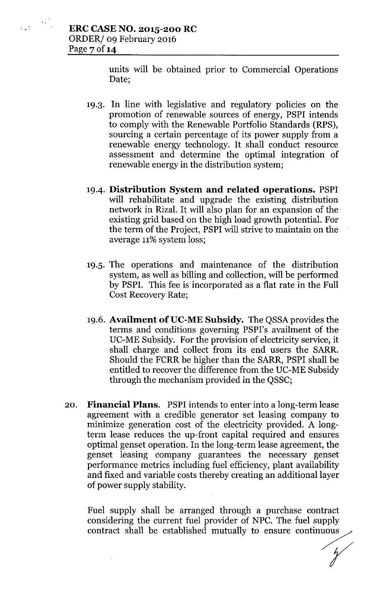units will be obtained prior to Commercial Operations Date;

- 19.3. In line with legislative and regulatory policies on the promotion of renewable sources of energy, PSPI intends to comply with the Renewable Portfolio Standards (RPS), sourcing a certain percentage of its power supply from a renewable energy technology. It shall conduct resource assessment and determine the optimal integration of renewable energy in the distribution system;
- 19-4. **Distribution System and related operations.** PSPI will rehabilitate and upgrade the existing distribution network in Rizal. It will also plan for an expansion of the existing grid based on the high load growth potential. For the term of the Project, PSPI will strive to maintain on the average 11% system loss;
- 19.5. The operations and maintenance of the distribution system, as well as billing and collection, will be performed by PSPI. This fee is incorporated as a flat rate in the Full Cost Recovery Rate;
- 19.6. Availment of UC-ME Subsidy. The QSSA provides the terms and conditions governing PSPI's availment of the DC-ME Subsidy. For the provision of electricity service, it shall charge and collect from its end users the SARR. Should the FCRR be higher than the SARR, PSPI shall be entitled to recover the difference from the DC-ME Subsidy through the mechanism provided in the QSSC;
- 20. **Financial Plans.** PSPI intends to enter into a long-term lease agreement with a credible generator set leasing company to minimize generation cost of the electricity provided. A longterm lease reduces the up-front capital required and ensures optimal genset operation. In the long-term lease agreement, the genset leasing company guarantees the necessary genset performance metrics including fuel efficiency, plant availability and fixed and variable costs thereby creating an additional layer of power supply stability.

Fuel supply shall be arranged through a purchase contract considering the current fuel provider of NPC. The fuel supply contract shall be established mutually to ensure continuous

et shan be established matually to ensure commutes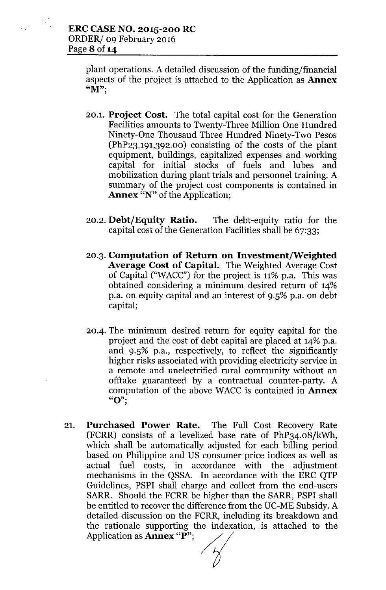plant operations. A detailed discussion of the funding/financial aspects of the project is attached to the Application as **Annex** " $M$ ";

- 20.1. **Project Cost.** The total capital cost for the Generation Facilities amounts to Twenty-Three Million One Hundred Ninety-One Thousand Three Hundred Ninety-Two Pesos (PhP23,191,392.00) consisting of the costs of the plant equipment, buildings, capitalized expenses and working capital for initial stocks of fuels and lubes and mobilization during plant trials and personnel training. A summary of the project cost components is contained in **Annex** "N" of the Application;
- 20.2. **Debt/Equity Ratio.** The debt-equity ratio for the capital cost of the Generation Facilities shall be 67:33;
- 20.3. **Computation of Return on Investment/Weighted Average Cost of Capital.** The Weighted Average Cost of Capital ("WACC") for the project is  $11\%$  p.a. This was obtained considering a minimum desired return of 14% p.a. on equity capital and an interest of 9.5% p.a. on debt capital;
- 20.4. The minimum desired return for equity capital for the project and the cost of debt capital are placed at 14% p.a. and 9.5% p.a., respectively, to reflect the significantly higher risks associated with providing electricity service in a remote and unelectrified rural community without an offtake guaranteed by a contractual counter-party. A computation of the above WACCis contained in **Annex** " $O$ ";
- 21. **Purchased Power Rate.** The Full Cost Recovery Rate (FCRR) consists of a levelized base rate of PhP34.08/kWh, which shall be automatically adjusted for each billing period based on Philippine and US consumer price indices as well as actual fuel costs, in accordance with the adjustment mechanisms in the QSSA. In accordance with the ERC QTP Guidelines, PSPI shall charge and collect from the end-users SARR. Should the FCRR be higher than the SARR, PSPI shall be entitled to recover the difference from the UC-ME Subsidy. A detailed discussion on the FCRR, including its breakdown and the rationale supporting the indexation, is attached to the Application as **Annex "P"**;  $\angle$  / mechanisms in the QSSA. In accord<br>Guidelines, PSPI shall charge and contains SARR. Should the FCRR be higher the<br>be entitled to recover the difference fro<br>detailed discussion on the FCRR, include rationale supporting the i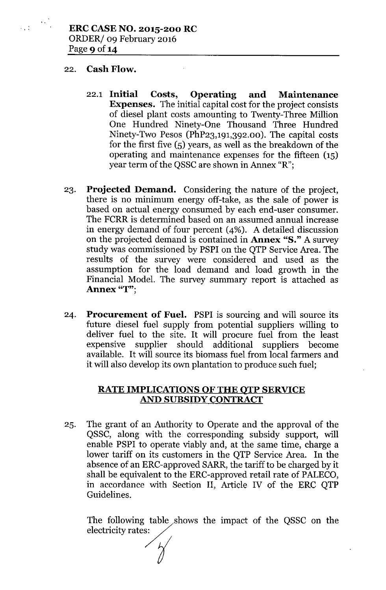#### 22. Cash Flow.

- 22.1 Initial Costs, Operating and Maintenance Expenses. The initial capital cost for the project consists of diesel plant costs amounting to Twenty-Three Million One Hundred Ninety-One Thousand Three Hundred Ninety-Two Pesos (PhP23,191,392.00). The capital costs for the first five  $(5)$  years, as well as the breakdown of the operating and maintenance expenses for the fifteen (15) year term of the QSSC are shown in Annex "R";
- 23. Projected Demand. Considering the nature of the project, there is no minimum energy off-take, as the sale of power is based on actual energy consumed by each end-user consumer. The FCRR is determined based on an assumed annual increase in energy demand of four percent (4%). A detailed discussion on the projected demand is contained in Annex "S." A survey study was commissioned by PSPI on the QTP Service Area. The results of the survey were considered and used as the assumption for the load demand and load growth in the Financial Model. The survey summary report is attached as Annex "T":
- 24. Procurement of Fuel. PSPI is sourcing and will source its future diesel fuel supply from potential suppliers willing to deliver fuel to the site. It will procure fuel from the least expensive supplier should additional suppliers become available. It will source its biomass fuel from local farmers and it will also develop its own plantation to produce such fuel;

### RATE IMPLICATIONS OF THE QTP SERVICE AND SUBSIDY CONTRACT

25. The grant of an Authority to Operate and the approval of the QSSC, along with the corresponding subsidy support, will enable PSPI to operate viably and, at the same time, charge a lower tariff on its customers in the QTP Service Area. In the absence of an ERC-approved SARR, the tariff to be charged by it shall be equivalent to the ERC-approved retail rate of PALECO, in accordance with Section II, Article IV of the ERC QTP Guidelines.

The following table shows Guidelines.<br>The following table<br>electricity rates: the impact of the QSSC on the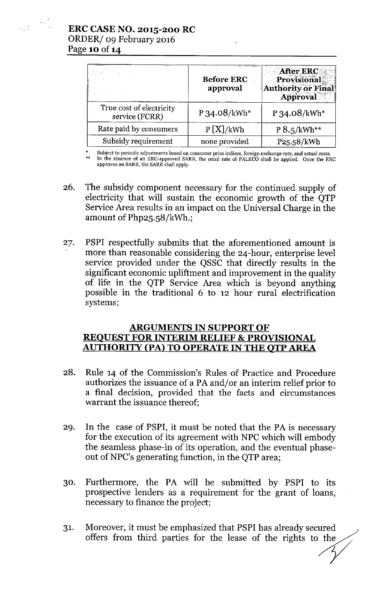|                                            | <b>Before ERC</b><br>approval | <b>After ERC</b><br>Provisional<br>Authority or Final<br>Approval |
|--------------------------------------------|-------------------------------|-------------------------------------------------------------------|
| True cost of electricity<br>service (FCRR) | P 34.08/kWh*                  | P 34.08/kWh*                                                      |
| Rate paid by consumers                     | P[X]/kWh                      | $P 8.5/kWh**$                                                     |
| Subsidy requirement                        | none provided                 | P25.58/kWh                                                        |

Subject to periodic adjustments based on consumer price indices, foreign exchange rate, and actual costs. \*\* In the absence of an ERC-approved SARR, the retail rate of PALECO shall be applied. Once the ERC approves an SARR, the SARR shall apply.

- 26. The subsidy component necessary for the continued supply of electricity that will sustain the economic growth of the QTP Service Area results in an impact on the Universal Charge in the amount of Php25.58/kWh.;
- 27. PSPI respectfully submits that the aforementioned amount is more than reasonable considering the 24-hour, enterprise level service provided under the QSSC that directly results in the significant economic upliftment and improvement in the quality of life in the QTP Service Area which is beyond anything possible in the traditional 6 to 12 hour rural electrification systems;

## ARGUMENTS IN SUPPORT OF REQUEST FOR INTERIM RELIEF & PROVISIONAL AUTHORITY (PA) TO OPERATE IN THE QTP AREA

- 28. Rule 14 of the Commission's Rules of Practice and Procedure authorizes the issuance of a PA and/or an interim relief prior to a final decision, provided that the facts and circumstances warrant the issuance thereof;
- 29. In the case of PSPI, it must be noted that the PA is necessary for the execution of its agreement with NPC which will embody the seamless phase-in of its operation, and the eventual phaseout of NPC's generating function, in the QTP area;
- 30. Furthermore, the PA will be submitted by PSPI to its prospective lenders as a requirement for the grant of loans, necessary to finance the project;
- 31. Moreover, it must be emphasized that PSPI has already secured offers from third parties for the lease of the rights to the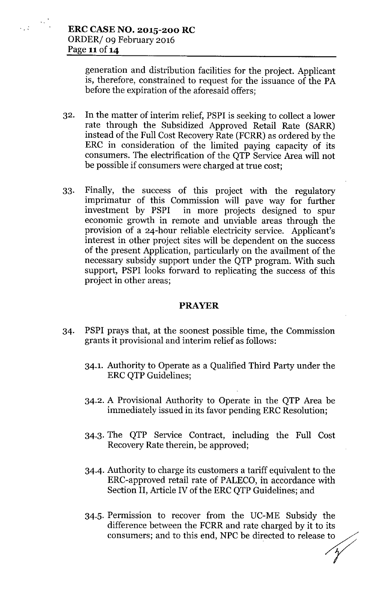generation and distribution facilities for the project. Applicant is, therefore, constrained to request for the issuance of the PA before the expiration of the aforesaid offers;

- 32. In the matter of interim relief, PSPI is seeking to collect a lower rate through the Subsidized Approved Retail Rate (SARR) instead of the Full Cost Recovery Rate (FCRR) as ordered by the ERC in consideration of the limited paying capacity of its consumers. The electrification of the QTP Service Area will not be possible if consumers were charged at true cost;
- 33. Finally, the success of this project with the regulatory imprimatur of this Commission will pave way for further in more projects designed to spur economic growth in remote and unviable areas through the provision of a 24-hour reliable electricity service. Applicant's interest in other project sites will be dependent on the success of the present Application, particularly on the availment of the necessary subsidy support under the QTP program. With such support, PSPI looks forward to replicating the success of this project in other areas;

## **PRAYER**

- 34. PSPI prays that, at the soonest possible time, the Commission grants it provisional and interim relief as follows:
	- 34.1. Authority to Operate as a Qualified Third Party under the ERC QTP Guidelines;
	- 34.2. A Provisional Authority to Operate in the QTP Area be immediately issued in its favor pending ERC Resolution;
	- 34.3. The QTP Service Contract, including the Full Cost Recovery Rate therein, be approved;
	- 34-4. Authority to charge its customers a tariff equivalent to the ERC-approved retail rate of PALECO, in accordance with Section II, Article IV of the ERC QTP Guidelines; and
	- 34.5. Permission to recover from the UC-ME Subsidy the difference between the FCRR and rate charged by it to its Permission to recover from the UC-ME Subsidy the<br>difference between the FCRR and rate charged by it to its<br>consumers; and to this end, NPC be directed to release to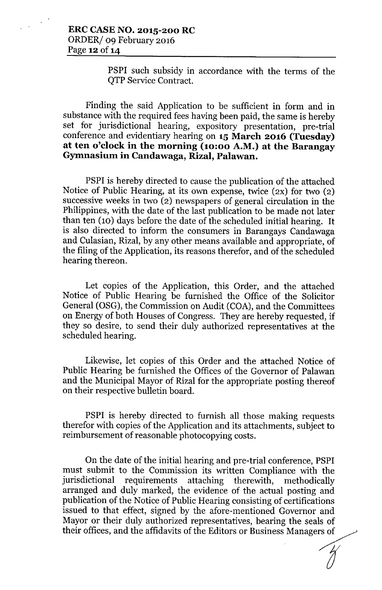PSPI such subsidy in accordance with the terms of the QTP Service Contract.

Finding the said Application to be sufficient in form and in substance with the required fees having been paid, the same is hereby set for jurisdictional hearing, expository presentation, pre-trial conference and evidentiary hearing on 15 March 2016 (Tuesday) at ten o'clock in the morning (10:00 A.M.) at the Barangay Gymnasium in Candawaga, Rizal, Palawan.

PSPI is hereby directed to cause the publication of the attached Notice of Public Hearing, at its own expense, twice (2X) for two (2) successive weeks in two  $(2)$  newspapers of general circulation in the Philippines, with the date of the last publication to be made not later than ten (10) days before the date of the scheduled initial hearing. It is also directed to inform the consumers in Barangays Candawaga and Culasian, Rizal, by any other means available and appropriate, of the filing of the Application, its reasons therefor, and of the scheduled hearing thereon.

Let copies of the Application, this Order, and the attached Notice of Public Hearing be furnished the Office of the Solicitor General (OSG), the Commission on Audit (COA), and the Committees on Energy of both Houses of Congress. They are hereby requested, if they so desire, to send their duly authorized representatives at the scheduled hearing.

Likewise, let copies of this Order and the attached Notice of Public Hearing be furnished the Offices of the Governor of Palawan and the Municipal Mayor of Rizal for the appropriate posting thereof on their respective bulletin board.

PSPI is hereby directed to furnish all those making requests therefor with copies of the Application and its attachments, subject to reimbursement of reasonable photocopying costs.

On the date of the initial hearing and pre-trial conference, PSPI must submit to the Commission its written Compliance with the jurisdictional requirements attaching therewith, methodically arranged and duly marked, the evidence of the actual posting and publication of the Notice of Public Hearing consisting of certifications issued to that effect, signed by the afore-mentioned Governor and Mayor or their duly authorized representatives, bearing the seals of their offices, and the affidavits of the Editors or Business Managers of  $\begin{pmatrix} 1 \\ 0 \\ 1 \end{pmatrix}$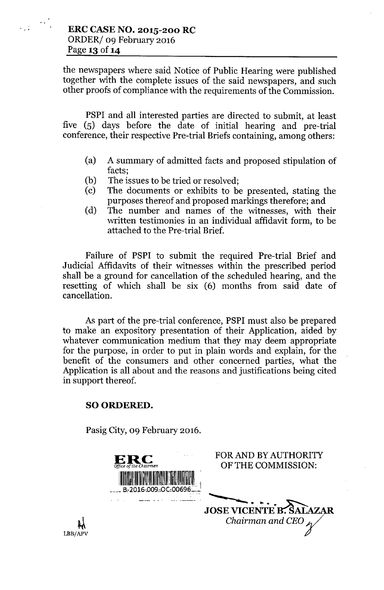the newspapers where said Notice of Public Hearing were published together with the complete issues of the said newspapers, and such other proofs of compliance with the requirements of the Commission.

PSPI and all interested parties are directed to submit, at least five (5) days before the date of initial hearing and pre-trial conference, their respective Pre-trial Briefs containing, among others:

- (a) A summary of admitted facts and proposed stipulation of facts;
- (b) The issues to be tried or resolved;
- (c) The documents or exhibits to be presented, stating the purposes thereof and proposed markings therefore; and
- (d) The number and names of the witnesses, with their written testimonies in an individual affidavit form, to be attached to the Pre-trial Brief.

Failure of PSPI to submit the required Pre-trial Brief and Judicial Affidavits of their witnesses within the prescribed period shall be a ground for cancellation of the scheduled hearing, and the resetting of which shall be six (6) months from said date of cancellation.

As part of the pre-trial conference, PSPI must also be prepared to make an expository presentation of their Application, aided by whatever communication medium that they may deem appropriate for the purpose, in order to put in plain words and explain, for the benefit of the consumers and other concerned parties, what the Application is all about and the reasons and justifications being cited in support thereof.

### SOORDERED.

Pasig City, 09 February 2016.

|         | ERC<br>Office of the Chairman | FOR AND BY AUTHORITY<br>OF THE COMMISSION: |
|---------|-------------------------------|--------------------------------------------|
|         | B-2016-009-OC-00696:          |                                            |
|         |                               | <b>JOSE VICENTE B. SALAZAR</b>             |
|         |                               |                                            |
|         |                               | Chairman and CEO                           |
| LBB/APV |                               |                                            |